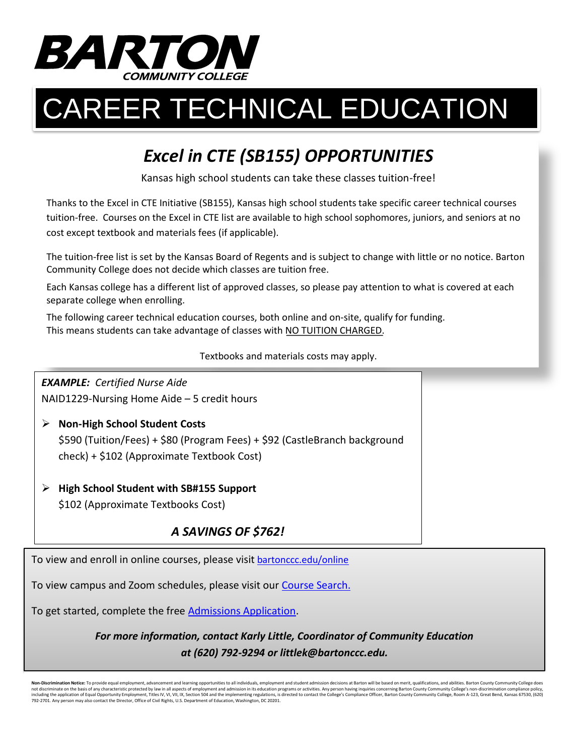

# CAREER TECHNICAL EDUCATION

## *Excel in CTE (SB155) OPPORTUNITIES*

Kansas high school students can take these classes tuition-free!

Thanks to the Excel in CTE Initiative (SB155), Kansas high school students take specific career technical courses tuition-free. Courses on the Excel in CTE list are available to high school sophomores, juniors, and seniors at no cost except textbook and materials fees (if applicable).

The tuition-free list is set by the Kansas Board of Regents and is subject to change with little or no notice. Barton Community College does not decide which classes are tuition free.

Each Kansas college has a different list of approved classes, so please pay attention to what is covered at each separate college when enrolling.

The following career technical education courses, both online and on-site, qualify for funding. This means students can take advantage of classes with NO TUITION CHARGED.

Textbooks and materials costs may apply.

*EXAMPLE: Certified Nurse Aide* NAID1229-Nursing Home Aide – 5 credit hours

- **Non-High School Student Costs** \$590 (Tuition/Fees) + \$80 (Program Fees) + \$92 (CastleBranch background check) + \$102 (Approximate Textbook Cost)
- **High School Student with SB#155 Support** \$102 (Approximate Textbooks Cost)

### *A SAVINGS OF \$762!*

To view and enroll in online courses, please visit bartonccc.edu/online

To view campus and Zoom schedules, please visit our [Course Search.](https://bartonccc.edu/enrollment/classes)

To get started, complete the free [Admissions Application.](https://bartonccc.edu/admission/apply)

*For more information, contact Karly Little, Coordinator of Community Education at (620) 792-9294 or littlek@bartonccc.edu.*

**Non-Discrimination Notice:** To provide equal employment, advancement and learning opportunities to all individuals, employment and student admission decisions at Barton will be based on merit, qualifications, and abilitie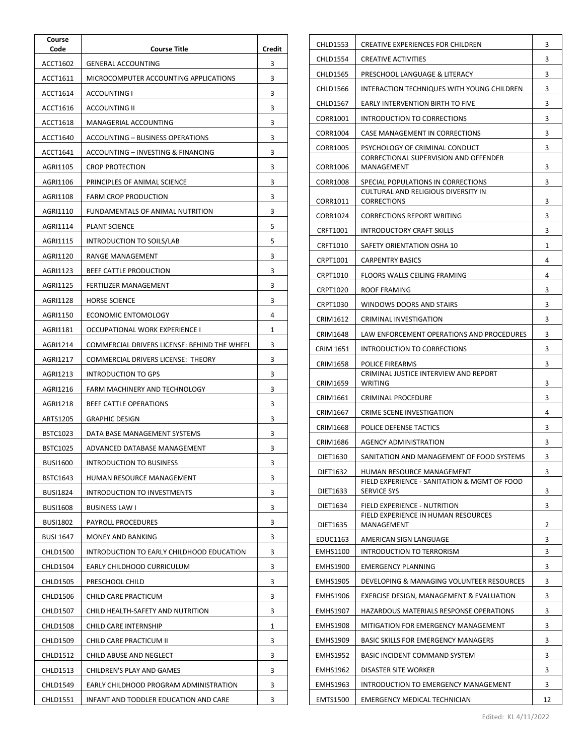| Course<br>Code   | <b>Course Title</b>                          | Credit |
|------------------|----------------------------------------------|--------|
| ACCT1602         | <b>GENERAL ACCOUNTING</b>                    | 3      |
| ACCT1611         | MICROCOMPUTER ACCOUNTING APPLICATIONS        | 3      |
| ACCT1614         | ACCOUNTING I                                 | 3      |
| ACCT1616         | <b>ACCOUNTING II</b>                         | 3      |
| ACCT1618         | MANAGERIAL ACCOUNTING                        | 3      |
| ACCT1640         | ACCOUNTING - BUSINESS OPERATIONS             | 3      |
| ACCT1641         | ACCOUNTING – INVESTING & FINANCING           | 3      |
| AGRI1105         | <b>CROP PROTECTION</b>                       | 3      |
| AGRI1106         | PRINCIPLES OF ANIMAL SCIENCE                 | 3      |
| AGRI1108         | <b>FARM CROP PRODUCTION</b>                  | 3      |
| AGRI1110         | FUNDAMENTALS OF ANIMAL NUTRITION             | 3      |
| AGRI1114         | <b>PLANT SCIENCE</b>                         | 5      |
| AGRI1115         | INTRODUCTION TO SOILS/LAB                    | 5      |
| AGRI1120         | RANGE MANAGEMENT                             | 3      |
| AGRI1123         | BEEF CATTLE PRODUCTION                       | 3      |
| AGRI1125         | FERTILIZER MANAGEMENT                        | 3      |
| AGRI1128         | <b>HORSE SCIENCE</b>                         | 3      |
| AGRI1150         | ECONOMIC ENTOMOLOGY                          | 4      |
| AGRI1181         | OCCUPATIONAL WORK EXPERIENCE I               | 1      |
| AGRI1214         | COMMERCIAL DRIVERS LICENSE: BEHIND THE WHEEL | 3      |
| AGRI1217         | COMMERCIAL DRIVERS LICENSE: THEORY           | 3      |
| AGRI1213         | INTRODUCTION TO GPS                          | 3      |
| AGRI1216         | FARM MACHINERY AND TECHNOLOGY                | 3      |
| AGRI1218         | BEEF CATTLE OPERATIONS                       | 3      |
| ARTS1205         | <b>GRAPHIC DESIGN</b>                        | 3      |
| BSTC1023         | DATA BASE MANAGEMENT SYSTEMS                 | 3      |
| <b>BSTC1025</b>  | ADVANCED DATABASE MANAGEMENT                 | 3      |
| <b>BUSI1600</b>  | INTRODUCTION TO BUSINESS                     | 3      |
| BSTC1643         | HUMAN RESOURCE MANAGEMENT                    | 3      |
| <b>BUSI1824</b>  | <b>INTRODUCTION TO INVESTMENTS</b>           | 3      |
| <b>BUSI1608</b>  | BUSINESS LAW I                               | 3      |
| <b>BUSI1802</b>  | PAYROLL PROCEDURES                           | 3      |
| <b>BUSI 1647</b> | MONEY AND BANKING                            | 3      |
| <b>CHLD1500</b>  | INTRODUCTION TO EARLY CHILDHOOD EDUCATION    | 3      |
| <b>CHLD1504</b>  | EARLY CHILDHOOD CURRICULUM                   | 3      |
| <b>CHLD1505</b>  | PRESCHOOL CHILD                              | 3      |
| CHLD1506         | CHILD CARE PRACTICUM                         | 3      |
| <b>CHLD1507</b>  | CHILD HEALTH-SAFETY AND NUTRITION            | 3      |
| <b>CHLD1508</b>  | CHILD CARE INTERNSHIP                        | 1      |
| CHLD1509         | CHILD CARE PRACTICUM II                      | 3      |
| <b>CHLD1512</b>  | CHILD ABUSE AND NEGLECT                      | 3      |
| CHLD1513         | CHILDREN'S PLAY AND GAMES                    | 3      |
| CHLD1549         | EARLY CHILDHOOD PROGRAM ADMINISTRATION       | 3      |
| <b>CHLD1551</b>  | INFANT AND TODDLER EDUCATION AND CARE        | 3      |

| <b>CHLD1553</b> | CREATIVE EXPERIENCES FOR CHILDREN                                  | 3  |
|-----------------|--------------------------------------------------------------------|----|
| CHLD1554        | CREATIVE ACTIVITIES                                                |    |
| <b>CHLD1565</b> | PRESCHOOL LANGUAGE & LITERACY                                      |    |
| CHLD1566        | INTERACTION TECHNIQUES WITH YOUNG CHILDREN                         |    |
| <b>CHLD1567</b> | EARLY INTERVENTION BIRTH TO FIVE                                   |    |
| CORR1001        | INTRODUCTION TO CORRECTIONS                                        |    |
| CORR1004        | <b>CASE MANAGEMENT IN CORRECTIONS</b>                              |    |
| CORR1005        | PSYCHOLOGY OF CRIMINAL CONDUCT                                     |    |
| CORR1006        | <b>CORRECTIONAL SUPERVISION AND OFFENDER</b><br>MANAGEMENT         |    |
| CORR1008        | SPECIAL POPULATIONS IN CORRECTIONS                                 |    |
| CORR1011        | <b>CULTURAL AND RELIGIOUS DIVERSITY IN</b><br><b>CORRECTIONS</b>   |    |
| CORR1024        | <b>CORRECTIONS REPORT WRITING</b>                                  |    |
| CRFT1001        | INTRODUCTORY CRAFT SKILLS                                          | 3  |
| CRFT1010        | SAFETY ORIENTATION OSHA 10                                         | 1  |
| CRPT1001        | <b>CARPENTRY BASICS</b>                                            | 4  |
| CRPT1010        | FLOORS WALLS CEILING FRAMING                                       | 4  |
| CRPT1020        | ROOF FRAMING                                                       | 3  |
| CRPT1030        | WINDOWS DOORS AND STAIRS                                           | 3  |
| CRIM1612        | CRIMINAL INVESTIGATION                                             | 3  |
| CRIM1648        | LAW ENFORCEMENT OPERATIONS AND PROCEDURES                          | 3  |
| CRIM 1651       | INTRODUCTION TO CORRECTIONS                                        | 3  |
| <b>CRIM1658</b> | POLICE FIREARMS                                                    | 3  |
| CRIM1659        | CRIMINAL JUSTICE INTERVIEW AND REPORT<br>WRITING                   | 3  |
| CRIM1661        | CRIMINAL PROCEDURE                                                 | 3  |
| CRIM1667        | CRIME SCENE INVESTIGATION                                          | 4  |
| CRIM1668        | POLICE DEFENSE TACTICS                                             |    |
| CRIM1686        | AGENCY ADMINISTRATION                                              |    |
| DIET1630        | SANITATION AND MANAGEMENT OF FOOD SYSTEMS                          |    |
| DIET1632        | HUMAN RESOURCE MANAGEMENT                                          | 3  |
| DIET1633        | FIELD EXPERIENCE - SANITATION & MGMT OF FOOD<br><b>SERVICE SYS</b> | 3  |
| DIET1634        | FIELD EXPERIENCE - NUTRITION                                       | 3  |
| DIET1635        | FIELD EXPERIENCE IN HUMAN RESOURCES<br>MANAGEMENT                  | 2  |
| EDUC1163        | AMERICAN SIGN LANGUAGE                                             |    |
| <b>EMHS1100</b> | INTRODUCTION TO TERRORISM                                          |    |
| <b>EMHS1900</b> | <b>EMERGENCY PLANNING</b>                                          | 3  |
| <b>EMHS1905</b> | DEVELOPING & MANAGING VOLUNTEER RESOURCES                          |    |
| <b>EMHS1906</b> | EXERCISE DESIGN, MANAGEMENT & EVALUATION                           |    |
| <b>EMHS1907</b> | HAZARDOUS MATERIALS RESPONSE OPERATIONS                            |    |
| <b>EMHS1908</b> | MITIGATION FOR EMERGENCY MANAGEMENT                                |    |
| <b>EMHS1909</b> | <b>BASIC SKILLS FOR EMERGENCY MANAGERS</b>                         | 3  |
| <b>EMHS1952</b> | BASIC INCIDENT COMMAND SYSTEM                                      | 3  |
| <b>EMHS1962</b> | DISASTER SITE WORKER                                               | 3  |
| <b>EMHS1963</b> | INTRODUCTION TO EMERGENCY MANAGEMENT                               | 3  |
| <b>EMTS1500</b> | <b>EMERGENCY MEDICAL TECHNICIAN</b>                                | 12 |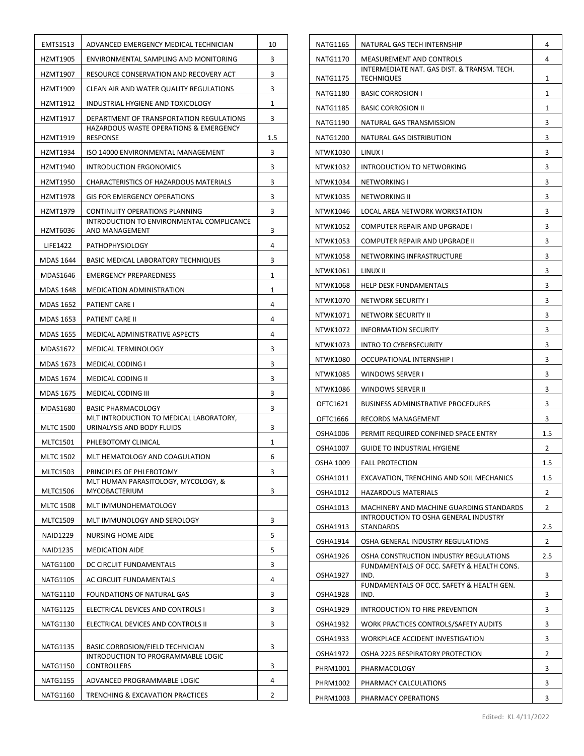|                                                | EMTS1513                                              | ADVANCED EMERGENCY MEDICAL TECHNICIAN                                       | 10  |
|------------------------------------------------|-------------------------------------------------------|-----------------------------------------------------------------------------|-----|
|                                                | HZMT1905                                              | ENVIRONMENTAL SAMPLING AND MONITORING                                       | 3   |
|                                                | HZMT1907                                              | RESOURCE CONSERVATION AND RECOVERY ACT                                      | 3   |
|                                                | HZMT1909                                              | CLEAN AIR AND WATER QUALITY REGULATIONS                                     | 3   |
|                                                | HZMT1912                                              | INDUSTRIAL HYGIENE AND TOXICOLOGY                                           | 1   |
|                                                | HZMT1917                                              | DEPARTMENT OF TRANSPORTATION REGULATIONS                                    | 3   |
|                                                | HZMT1919                                              | <b>HAZARDOUS WASTE OPERATIONS &amp; EMERGENCY</b><br>RESPONSE               | 1.5 |
|                                                | HZMT1934                                              | ISO 14000 ENVIRONMENTAL MANAGEMENT                                          | 3   |
|                                                | HZMT1940<br>INTRODUCTION ERGONOMICS                   |                                                                             | 3   |
|                                                | HZMT1950                                              | CHARACTERISTICS OF HAZARDOUS MATERIALS                                      | 3   |
|                                                | HZMT1978                                              | <b>GIS FOR EMERGENCY OPERATIONS</b>                                         | 3   |
|                                                | HZMT1979                                              | CONTINUITY OPERATIONS PLANNING<br>INTRODUCTION TO ENVIRONMENTAL COMPLICANCE |     |
|                                                | HZMT6036                                              | AND MANAGEMENT                                                              | 3   |
|                                                | LIFE1422                                              | <b>PATHOPHYSIOLOGY</b>                                                      | 4   |
|                                                | MDAS 1644                                             | BASIC MEDICAL LABORATORY TECHNIQUES                                         | 3   |
|                                                | MDAS1646                                              | <b>EMERGENCY PREPAREDNESS</b>                                               | 1   |
|                                                | MDAS 1648                                             | MEDICATION ADMINISTRATION                                                   | 1   |
|                                                | MDAS 1652                                             | PATIENT CARE I                                                              | 4   |
|                                                | MDAS 1653                                             | PATIENT CARE II                                                             | 4   |
|                                                | MDAS 1655                                             | MEDICAL ADMINISTRATIVE ASPECTS                                              | 4   |
|                                                | MDAS1672                                              | MEDICAL TERMINOLOGY                                                         | 3   |
|                                                | <b>MDAS 1673</b>                                      | MEDICAL CODING I                                                            | 3   |
|                                                | MDAS 1674                                             | MEDICAL CODING II                                                           | 3   |
|                                                | MDAS 1675                                             | MEDICAL CODING III                                                          | 3   |
|                                                | MDAS1680                                              | <b>BASIC PHARMACOLOGY</b><br>MLT INTRODUCTION TO MEDICAL LABORATORY.        | 3   |
| <b>MLTC 1500</b><br>URINALYSIS AND BODY FLUIDS |                                                       |                                                                             | 3   |
|                                                | <b>MLTC1501</b>                                       | PHLEBOTOMY CLINICAL                                                         | 1   |
|                                                | <b>MLTC 1502</b>                                      | MLT HEMATOLOGY AND COAGULATION                                              | 6   |
|                                                | <b>MLTC1503</b>                                       | PRINCIPLES OF PHLEBOTOMY                                                    | 3   |
|                                                | <b>MLTC1506</b>                                       | MLT HUMAN PARASITOLOGY, MYCOLOGY, &<br>MYCOBACTERIUM                        |     |
|                                                | <b>MLTC 1508</b>                                      | MLT IMMUNOHEMATOLOGY                                                        |     |
|                                                | <b>MLTC1509</b>                                       | MLT IMMUNOLOGY AND SEROLOGY                                                 | 3   |
|                                                | <b>NAID1229</b>                                       | NURSING HOME AIDE                                                           | 5   |
|                                                | <b>NAID1235</b>                                       | <b>MEDICATION AIDE</b>                                                      | 5   |
|                                                | <b>NATG1100</b>                                       | DC CIRCUIT FUNDAMENTALS                                                     | 3   |
|                                                | NATG1105                                              | AC CIRCUIT FUNDAMENTALS                                                     | 4   |
|                                                | <b>NATG1110</b>                                       | FOUNDATIONS OF NATURAL GAS                                                  | 3   |
|                                                | NATG1125                                              | ELECTRICAL DEVICES AND CONTROLS I                                           | 3   |
|                                                | <b>NATG1130</b><br>ELECTRICAL DEVICES AND CONTROLS II |                                                                             | 3   |
| NATG1135                                       |                                                       | BASIC CORROSION/FIELD TECHNICIAN                                            | 3   |
|                                                | NATG1150                                              | INTRODUCTION TO PROGRAMMABLE LOGIC<br>CONTROLLERS                           | 3   |
|                                                | <b>NATG1155</b>                                       | ADVANCED PROGRAMMABLE LOGIC                                                 | 4   |
|                                                | <b>NATG1160</b>                                       | TRENCHING & EXCAVATION PRACTICES                                            | 2   |

| 4<br>NATG1170<br>MEASUREMENT AND CONTROLS<br>INTERMEDIATE NAT. GAS DIST. & TRANSM. TECH.<br>NATG1175<br>TECHNIQUES<br>1<br>1<br><b>NATG1180</b><br><b>BASIC CORROSION I</b><br><b>NATG1185</b><br><b>BASIC CORROSION II</b><br>1<br>3<br>NATG1190<br>NATURAL GAS TRANSMISSION<br><b>NATG1200</b><br>NATURAL GAS DISTRIBUTION<br>3<br>3<br>NTWK1030<br>LINUX I<br>INTRODUCTION TO NETWORKING<br>3<br><b>NTWK1032</b><br>3<br>NTWK1034<br>NETWORKING I<br>3<br>NTWK1035<br>NETWORKING II<br>LOCAL AREA NETWORK WORKSTATION<br>3<br>NTWK1046<br>NTWK1052<br>COMPUTER REPAIR AND UPGRADE I<br>3<br>3<br>NTWK1053<br>COMPUTER REPAIR AND UPGRADE II<br>3<br>NTWK1058<br>NETWORKING INFRASTRUCTURE<br>3<br>NTWK1061<br>LINUX II<br>3<br><b>NTWK1068</b><br><b>HELP DESK FUNDAMENTALS</b><br>3<br>NTWK1070<br>NETWORK SECURITY I<br>NTWK1071<br>NETWORK SECURITY II<br>3<br>3<br>NTWK1072<br><b>INFORMATION SECURITY</b><br>3<br>NTWK1073<br><b>INTRO TO CYBERSECURITY</b><br>3<br>NTWK1080<br>OCCUPATIONAL INTERNSHIP I<br>3<br>NTWK1085<br>WINDOWS SERVER I<br>WINDOWS SERVER II<br>3<br>NTWK1086<br>OFTC1621<br>BUSINESS ADMINISTRATIVE PROCEDURES<br>3<br>OFTC1666<br>RECORDS MANAGEMENT<br>3<br>1.5<br>OSHA1006<br>PERMIT REQUIRED CONFINED SPACE ENTRY<br>OSHA1007<br>GUIDE TO INDUSTRIAL HYGIENE<br>2<br>1.5<br><b>OSHA 1009</b><br><b>FALL PROTECTION</b> |
|------------------------------------------------------------------------------------------------------------------------------------------------------------------------------------------------------------------------------------------------------------------------------------------------------------------------------------------------------------------------------------------------------------------------------------------------------------------------------------------------------------------------------------------------------------------------------------------------------------------------------------------------------------------------------------------------------------------------------------------------------------------------------------------------------------------------------------------------------------------------------------------------------------------------------------------------------------------------------------------------------------------------------------------------------------------------------------------------------------------------------------------------------------------------------------------------------------------------------------------------------------------------------------------------------------------------------------------------------------|
|                                                                                                                                                                                                                                                                                                                                                                                                                                                                                                                                                                                                                                                                                                                                                                                                                                                                                                                                                                                                                                                                                                                                                                                                                                                                                                                                                            |
|                                                                                                                                                                                                                                                                                                                                                                                                                                                                                                                                                                                                                                                                                                                                                                                                                                                                                                                                                                                                                                                                                                                                                                                                                                                                                                                                                            |
|                                                                                                                                                                                                                                                                                                                                                                                                                                                                                                                                                                                                                                                                                                                                                                                                                                                                                                                                                                                                                                                                                                                                                                                                                                                                                                                                                            |
|                                                                                                                                                                                                                                                                                                                                                                                                                                                                                                                                                                                                                                                                                                                                                                                                                                                                                                                                                                                                                                                                                                                                                                                                                                                                                                                                                            |
|                                                                                                                                                                                                                                                                                                                                                                                                                                                                                                                                                                                                                                                                                                                                                                                                                                                                                                                                                                                                                                                                                                                                                                                                                                                                                                                                                            |
|                                                                                                                                                                                                                                                                                                                                                                                                                                                                                                                                                                                                                                                                                                                                                                                                                                                                                                                                                                                                                                                                                                                                                                                                                                                                                                                                                            |
|                                                                                                                                                                                                                                                                                                                                                                                                                                                                                                                                                                                                                                                                                                                                                                                                                                                                                                                                                                                                                                                                                                                                                                                                                                                                                                                                                            |
|                                                                                                                                                                                                                                                                                                                                                                                                                                                                                                                                                                                                                                                                                                                                                                                                                                                                                                                                                                                                                                                                                                                                                                                                                                                                                                                                                            |
|                                                                                                                                                                                                                                                                                                                                                                                                                                                                                                                                                                                                                                                                                                                                                                                                                                                                                                                                                                                                                                                                                                                                                                                                                                                                                                                                                            |
|                                                                                                                                                                                                                                                                                                                                                                                                                                                                                                                                                                                                                                                                                                                                                                                                                                                                                                                                                                                                                                                                                                                                                                                                                                                                                                                                                            |
|                                                                                                                                                                                                                                                                                                                                                                                                                                                                                                                                                                                                                                                                                                                                                                                                                                                                                                                                                                                                                                                                                                                                                                                                                                                                                                                                                            |
|                                                                                                                                                                                                                                                                                                                                                                                                                                                                                                                                                                                                                                                                                                                                                                                                                                                                                                                                                                                                                                                                                                                                                                                                                                                                                                                                                            |
|                                                                                                                                                                                                                                                                                                                                                                                                                                                                                                                                                                                                                                                                                                                                                                                                                                                                                                                                                                                                                                                                                                                                                                                                                                                                                                                                                            |
|                                                                                                                                                                                                                                                                                                                                                                                                                                                                                                                                                                                                                                                                                                                                                                                                                                                                                                                                                                                                                                                                                                                                                                                                                                                                                                                                                            |
|                                                                                                                                                                                                                                                                                                                                                                                                                                                                                                                                                                                                                                                                                                                                                                                                                                                                                                                                                                                                                                                                                                                                                                                                                                                                                                                                                            |
|                                                                                                                                                                                                                                                                                                                                                                                                                                                                                                                                                                                                                                                                                                                                                                                                                                                                                                                                                                                                                                                                                                                                                                                                                                                                                                                                                            |
|                                                                                                                                                                                                                                                                                                                                                                                                                                                                                                                                                                                                                                                                                                                                                                                                                                                                                                                                                                                                                                                                                                                                                                                                                                                                                                                                                            |
|                                                                                                                                                                                                                                                                                                                                                                                                                                                                                                                                                                                                                                                                                                                                                                                                                                                                                                                                                                                                                                                                                                                                                                                                                                                                                                                                                            |
|                                                                                                                                                                                                                                                                                                                                                                                                                                                                                                                                                                                                                                                                                                                                                                                                                                                                                                                                                                                                                                                                                                                                                                                                                                                                                                                                                            |
|                                                                                                                                                                                                                                                                                                                                                                                                                                                                                                                                                                                                                                                                                                                                                                                                                                                                                                                                                                                                                                                                                                                                                                                                                                                                                                                                                            |
|                                                                                                                                                                                                                                                                                                                                                                                                                                                                                                                                                                                                                                                                                                                                                                                                                                                                                                                                                                                                                                                                                                                                                                                                                                                                                                                                                            |
|                                                                                                                                                                                                                                                                                                                                                                                                                                                                                                                                                                                                                                                                                                                                                                                                                                                                                                                                                                                                                                                                                                                                                                                                                                                                                                                                                            |
|                                                                                                                                                                                                                                                                                                                                                                                                                                                                                                                                                                                                                                                                                                                                                                                                                                                                                                                                                                                                                                                                                                                                                                                                                                                                                                                                                            |
|                                                                                                                                                                                                                                                                                                                                                                                                                                                                                                                                                                                                                                                                                                                                                                                                                                                                                                                                                                                                                                                                                                                                                                                                                                                                                                                                                            |
|                                                                                                                                                                                                                                                                                                                                                                                                                                                                                                                                                                                                                                                                                                                                                                                                                                                                                                                                                                                                                                                                                                                                                                                                                                                                                                                                                            |
|                                                                                                                                                                                                                                                                                                                                                                                                                                                                                                                                                                                                                                                                                                                                                                                                                                                                                                                                                                                                                                                                                                                                                                                                                                                                                                                                                            |
|                                                                                                                                                                                                                                                                                                                                                                                                                                                                                                                                                                                                                                                                                                                                                                                                                                                                                                                                                                                                                                                                                                                                                                                                                                                                                                                                                            |
|                                                                                                                                                                                                                                                                                                                                                                                                                                                                                                                                                                                                                                                                                                                                                                                                                                                                                                                                                                                                                                                                                                                                                                                                                                                                                                                                                            |
| OSHA1011<br>EXCAVATION, TRENCHING AND SOIL MECHANICS<br>1.5                                                                                                                                                                                                                                                                                                                                                                                                                                                                                                                                                                                                                                                                                                                                                                                                                                                                                                                                                                                                                                                                                                                                                                                                                                                                                                |
| OSHA1012<br>HAZARDOUS MATERIALS<br>2                                                                                                                                                                                                                                                                                                                                                                                                                                                                                                                                                                                                                                                                                                                                                                                                                                                                                                                                                                                                                                                                                                                                                                                                                                                                                                                       |
| MACHINERY AND MACHINE GUARDING STANDARDS<br>2<br>OSHA1013                                                                                                                                                                                                                                                                                                                                                                                                                                                                                                                                                                                                                                                                                                                                                                                                                                                                                                                                                                                                                                                                                                                                                                                                                                                                                                  |
| INTRODUCTION TO OSHA GENERAL INDUSTRY<br>2.5<br><b>OSHA1913</b><br>STANDARDS                                                                                                                                                                                                                                                                                                                                                                                                                                                                                                                                                                                                                                                                                                                                                                                                                                                                                                                                                                                                                                                                                                                                                                                                                                                                               |
| <b>OSHA1914</b><br>OSHA GENERAL INDUSTRY REGULATIONS<br>2                                                                                                                                                                                                                                                                                                                                                                                                                                                                                                                                                                                                                                                                                                                                                                                                                                                                                                                                                                                                                                                                                                                                                                                                                                                                                                  |
| OSHA CONSTRUCTION INDUSTRY REGULATIONS<br>2.5<br>OSHA1926                                                                                                                                                                                                                                                                                                                                                                                                                                                                                                                                                                                                                                                                                                                                                                                                                                                                                                                                                                                                                                                                                                                                                                                                                                                                                                  |
| FUNDAMENTALS OF OCC. SAFETY & HEALTH CONS.<br>IND.<br>3<br>OSHA1927                                                                                                                                                                                                                                                                                                                                                                                                                                                                                                                                                                                                                                                                                                                                                                                                                                                                                                                                                                                                                                                                                                                                                                                                                                                                                        |
| FUNDAMENTALS OF OCC. SAFETY & HEALTH GEN.<br>3<br>OSHA1928<br>IND.                                                                                                                                                                                                                                                                                                                                                                                                                                                                                                                                                                                                                                                                                                                                                                                                                                                                                                                                                                                                                                                                                                                                                                                                                                                                                         |
| INTRODUCTION TO FIRE PREVENTION<br>3<br>OSHA1929                                                                                                                                                                                                                                                                                                                                                                                                                                                                                                                                                                                                                                                                                                                                                                                                                                                                                                                                                                                                                                                                                                                                                                                                                                                                                                           |
| 3<br><b>OSHA1932</b><br>WORK PRACTICES CONTROLS/SAFETY AUDITS                                                                                                                                                                                                                                                                                                                                                                                                                                                                                                                                                                                                                                                                                                                                                                                                                                                                                                                                                                                                                                                                                                                                                                                                                                                                                              |
| WORKPLACE ACCIDENT INVESTIGATION<br>OSHA1933<br>3                                                                                                                                                                                                                                                                                                                                                                                                                                                                                                                                                                                                                                                                                                                                                                                                                                                                                                                                                                                                                                                                                                                                                                                                                                                                                                          |
| OSHA 2225 RESPIRATORY PROTECTION<br>2<br>OSHA1972                                                                                                                                                                                                                                                                                                                                                                                                                                                                                                                                                                                                                                                                                                                                                                                                                                                                                                                                                                                                                                                                                                                                                                                                                                                                                                          |
| 3<br>PHRM1001<br>PHARMACOLOGY                                                                                                                                                                                                                                                                                                                                                                                                                                                                                                                                                                                                                                                                                                                                                                                                                                                                                                                                                                                                                                                                                                                                                                                                                                                                                                                              |
| 3<br>PHRM1002<br>PHARMACY CALCULATIONS                                                                                                                                                                                                                                                                                                                                                                                                                                                                                                                                                                                                                                                                                                                                                                                                                                                                                                                                                                                                                                                                                                                                                                                                                                                                                                                     |
| PHRM1003<br>PHARMACY OPERATIONS<br>3                                                                                                                                                                                                                                                                                                                                                                                                                                                                                                                                                                                                                                                                                                                                                                                                                                                                                                                                                                                                                                                                                                                                                                                                                                                                                                                       |